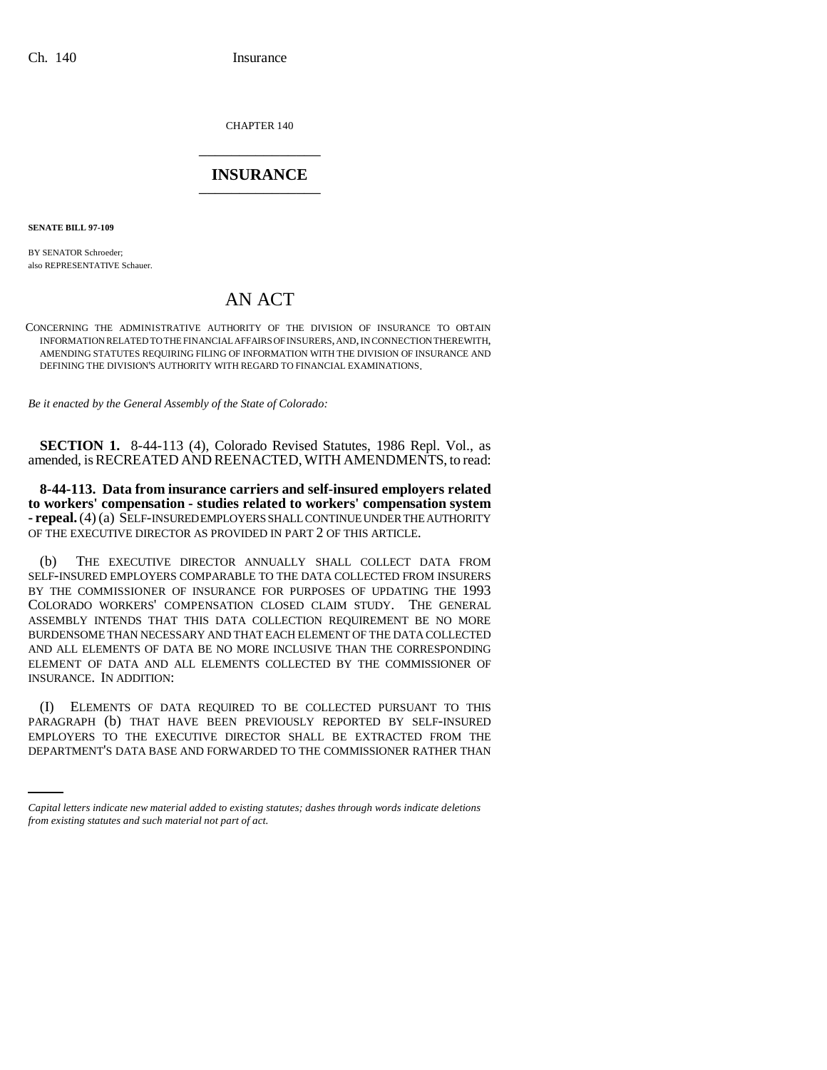CHAPTER 140 \_\_\_\_\_\_\_\_\_\_\_\_\_\_\_

## **INSURANCE** \_\_\_\_\_\_\_\_\_\_\_\_\_\_\_

**SENATE BILL 97-109**

BY SENATOR Schroeder; also REPRESENTATIVE Schauer.

## AN ACT

CONCERNING THE ADMINISTRATIVE AUTHORITY OF THE DIVISION OF INSURANCE TO OBTAIN INFORMATION RELATED TO THE FINANCIAL AFFAIRS OF INSURERS, AND, IN CONNECTION THEREWITH, AMENDING STATUTES REQUIRING FILING OF INFORMATION WITH THE DIVISION OF INSURANCE AND DEFINING THE DIVISION'S AUTHORITY WITH REGARD TO FINANCIAL EXAMINATIONS.

*Be it enacted by the General Assembly of the State of Colorado:*

**SECTION 1.** 8-44-113 (4), Colorado Revised Statutes, 1986 Repl. Vol., as amended, is RECREATED AND REENACTED, WITH AMENDMENTS, to read:

**8-44-113. Data from insurance carriers and self-insured employers related to workers' compensation - studies related to workers' compensation system - repeal.** (4) (a) SELF-INSURED EMPLOYERS SHALL CONTINUE UNDER THE AUTHORITY OF THE EXECUTIVE DIRECTOR AS PROVIDED IN PART 2 OF THIS ARTICLE.

(b) THE EXECUTIVE DIRECTOR ANNUALLY SHALL COLLECT DATA FROM SELF-INSURED EMPLOYERS COMPARABLE TO THE DATA COLLECTED FROM INSURERS BY THE COMMISSIONER OF INSURANCE FOR PURPOSES OF UPDATING THE 1993 COLORADO WORKERS' COMPENSATION CLOSED CLAIM STUDY. THE GENERAL ASSEMBLY INTENDS THAT THIS DATA COLLECTION REQUIREMENT BE NO MORE BURDENSOME THAN NECESSARY AND THAT EACH ELEMENT OF THE DATA COLLECTED AND ALL ELEMENTS OF DATA BE NO MORE INCLUSIVE THAN THE CORRESPONDING ELEMENT OF DATA AND ALL ELEMENTS COLLECTED BY THE COMMISSIONER OF INSURANCE. IN ADDITION:

PARAGRAPH (b) THAT HAVE BEEN PREVIOUSLY REPORTED BY SELF-INSURED (I) ELEMENTS OF DATA REQUIRED TO BE COLLECTED PURSUANT TO THIS EMPLOYERS TO THE EXECUTIVE DIRECTOR SHALL BE EXTRACTED FROM THE DEPARTMENT'S DATA BASE AND FORWARDED TO THE COMMISSIONER RATHER THAN

*Capital letters indicate new material added to existing statutes; dashes through words indicate deletions from existing statutes and such material not part of act.*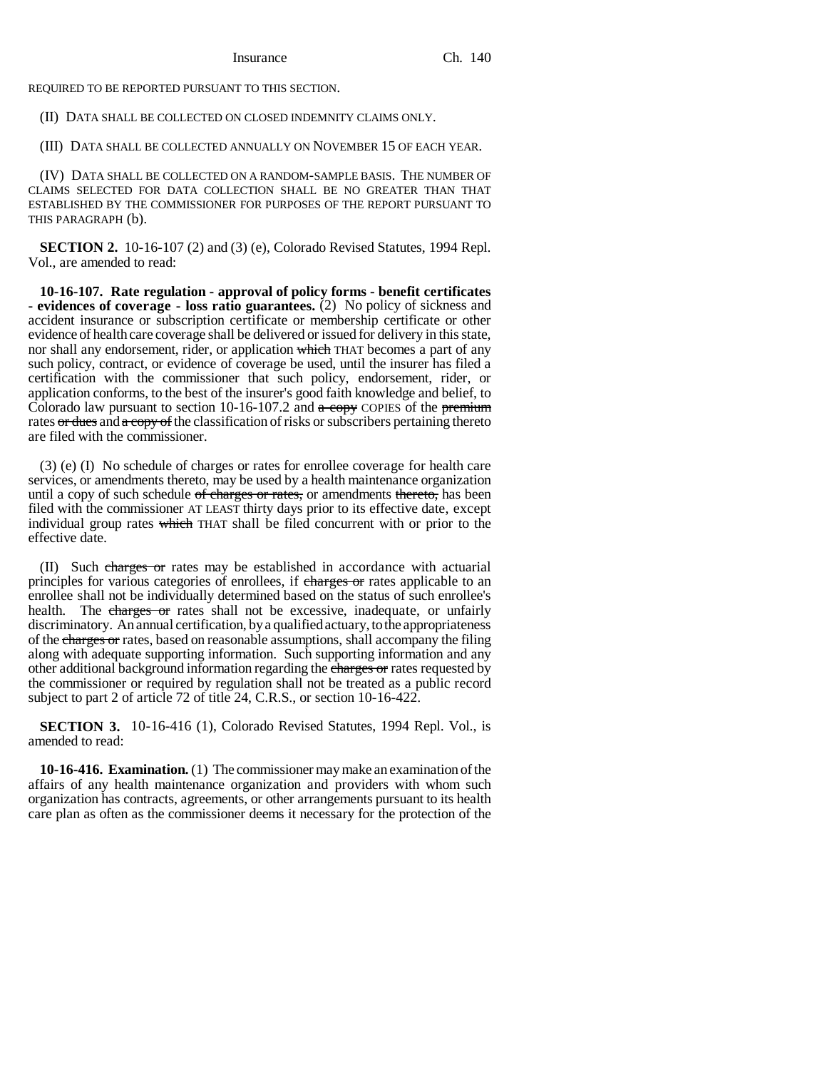REQUIRED TO BE REPORTED PURSUANT TO THIS SECTION.

(II) DATA SHALL BE COLLECTED ON CLOSED INDEMNITY CLAIMS ONLY.

(III) DATA SHALL BE COLLECTED ANNUALLY ON NOVEMBER 15 OF EACH YEAR.

(IV) DATA SHALL BE COLLECTED ON A RANDOM-SAMPLE BASIS. THE NUMBER OF CLAIMS SELECTED FOR DATA COLLECTION SHALL BE NO GREATER THAN THAT ESTABLISHED BY THE COMMISSIONER FOR PURPOSES OF THE REPORT PURSUANT TO THIS PARAGRAPH (b).

**SECTION 2.** 10-16-107 (2) and (3) (e), Colorado Revised Statutes, 1994 Repl. Vol., are amended to read:

**10-16-107. Rate regulation - approval of policy forms - benefit certificates - evidences of coverage - loss ratio guarantees.** (2) No policy of sickness and accident insurance or subscription certificate or membership certificate or other evidence of health care coverage shall be delivered or issued for delivery in this state, nor shall any endorsement, rider, or application which THAT becomes a part of any such policy, contract, or evidence of coverage be used, until the insurer has filed a certification with the commissioner that such policy, endorsement, rider, or application conforms, to the best of the insurer's good faith knowledge and belief, to Colorado law pursuant to section 10-16-107.2 and  $a$  copy COPIES of the premium rates or dues and a copy of the classification of risks or subscribers pertaining thereto are filed with the commissioner.

(3) (e) (I) No schedule of charges or rates for enrollee coverage for health care services, or amendments thereto, may be used by a health maintenance organization until a copy of such schedule of charges or rates, or amendments thereto, has been filed with the commissioner AT LEAST thirty days prior to its effective date, except individual group rates which THAT shall be filed concurrent with or prior to the effective date.

(II) Such charges or rates may be established in accordance with actuarial principles for various categories of enrollees, if charges or rates applicable to an enrollee shall not be individually determined based on the status of such enrollee's health. The charges or rates shall not be excessive, inadequate, or unfairly discriminatory. An annual certification, by a qualified actuary, to the appropriateness of the charges or rates, based on reasonable assumptions, shall accompany the filing along with adequate supporting information. Such supporting information and any other additional background information regarding the charges or rates requested by the commissioner or required by regulation shall not be treated as a public record subject to part 2 of article 72 of title 24, C.R.S., or section 10-16-422.

**SECTION 3.** 10-16-416 (1), Colorado Revised Statutes, 1994 Repl. Vol., is amended to read:

**10-16-416. Examination.** (1) The commissioner may make an examination of the affairs of any health maintenance organization and providers with whom such organization has contracts, agreements, or other arrangements pursuant to its health care plan as often as the commissioner deems it necessary for the protection of the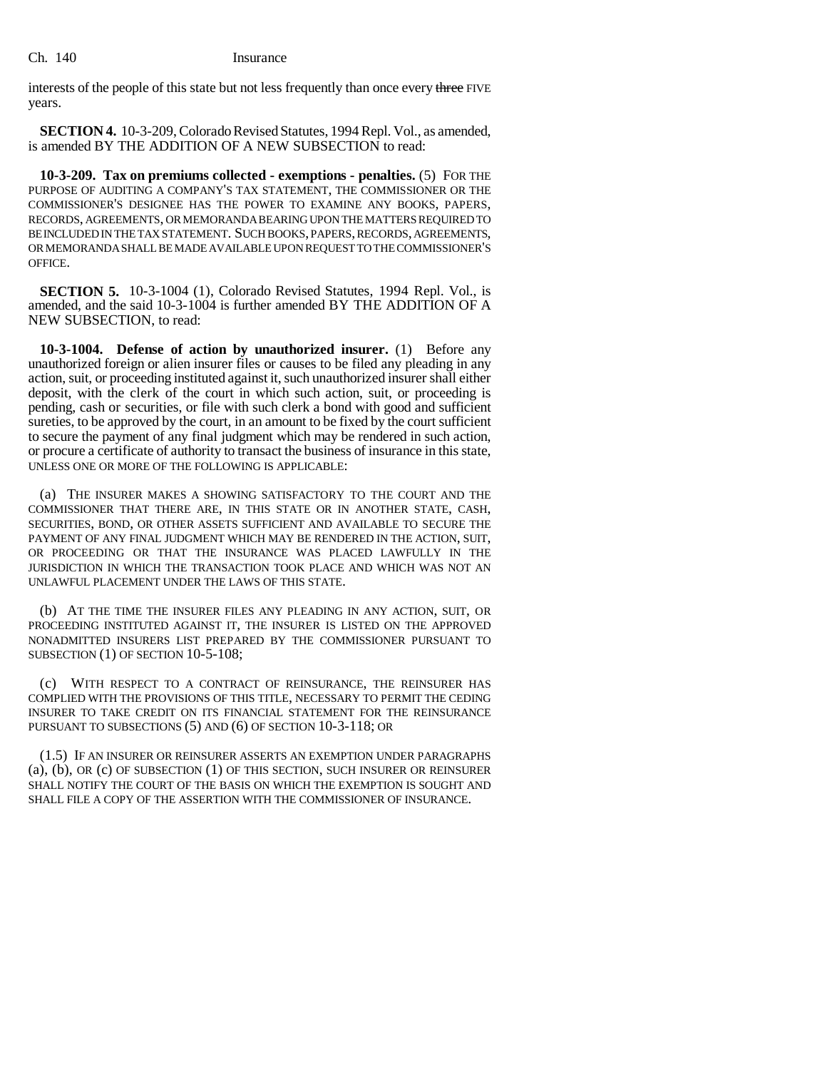interests of the people of this state but not less frequently than once every three FIVE years.

**SECTION 4.** 10-3-209, Colorado Revised Statutes, 1994 Repl. Vol., as amended, is amended BY THE ADDITION OF A NEW SUBSECTION to read:

**10-3-209. Tax on premiums collected - exemptions - penalties.** (5) FOR THE PURPOSE OF AUDITING A COMPANY'S TAX STATEMENT, THE COMMISSIONER OR THE COMMISSIONER'S DESIGNEE HAS THE POWER TO EXAMINE ANY BOOKS, PAPERS, RECORDS, AGREEMENTS, OR MEMORANDA BEARING UPON THE MATTERS REQUIRED TO BE INCLUDED IN THE TAX STATEMENT. SUCH BOOKS, PAPERS, RECORDS, AGREEMENTS, OR MEMORANDA SHALL BE MADE AVAILABLE UPON REQUEST TO THE COMMISSIONER'S OFFICE.

**SECTION 5.** 10-3-1004 (1), Colorado Revised Statutes, 1994 Repl. Vol., is amended, and the said 10-3-1004 is further amended BY THE ADDITION OF A NEW SUBSECTION, to read:

**10-3-1004. Defense of action by unauthorized insurer.** (1) Before any unauthorized foreign or alien insurer files or causes to be filed any pleading in any action, suit, or proceeding instituted against it, such unauthorized insurer shall either deposit, with the clerk of the court in which such action, suit, or proceeding is pending, cash or securities, or file with such clerk a bond with good and sufficient sureties, to be approved by the court, in an amount to be fixed by the court sufficient to secure the payment of any final judgment which may be rendered in such action, or procure a certificate of authority to transact the business of insurance in this state, UNLESS ONE OR MORE OF THE FOLLOWING IS APPLICABLE:

(a) THE INSURER MAKES A SHOWING SATISFACTORY TO THE COURT AND THE COMMISSIONER THAT THERE ARE, IN THIS STATE OR IN ANOTHER STATE, CASH, SECURITIES, BOND, OR OTHER ASSETS SUFFICIENT AND AVAILABLE TO SECURE THE PAYMENT OF ANY FINAL JUDGMENT WHICH MAY BE RENDERED IN THE ACTION, SUIT, OR PROCEEDING OR THAT THE INSURANCE WAS PLACED LAWFULLY IN THE JURISDICTION IN WHICH THE TRANSACTION TOOK PLACE AND WHICH WAS NOT AN UNLAWFUL PLACEMENT UNDER THE LAWS OF THIS STATE.

(b) AT THE TIME THE INSURER FILES ANY PLEADING IN ANY ACTION, SUIT, OR PROCEEDING INSTITUTED AGAINST IT, THE INSURER IS LISTED ON THE APPROVED NONADMITTED INSURERS LIST PREPARED BY THE COMMISSIONER PURSUANT TO SUBSECTION (1) OF SECTION 10-5-108;

(c) WITH RESPECT TO A CONTRACT OF REINSURANCE, THE REINSURER HAS COMPLIED WITH THE PROVISIONS OF THIS TITLE, NECESSARY TO PERMIT THE CEDING INSURER TO TAKE CREDIT ON ITS FINANCIAL STATEMENT FOR THE REINSURANCE PURSUANT TO SUBSECTIONS (5) AND (6) OF SECTION 10-3-118; OR

(1.5) IF AN INSURER OR REINSURER ASSERTS AN EXEMPTION UNDER PARAGRAPHS (a), (b), OR (c) OF SUBSECTION (1) OF THIS SECTION, SUCH INSURER OR REINSURER SHALL NOTIFY THE COURT OF THE BASIS ON WHICH THE EXEMPTION IS SOUGHT AND SHALL FILE A COPY OF THE ASSERTION WITH THE COMMISSIONER OF INSURANCE.